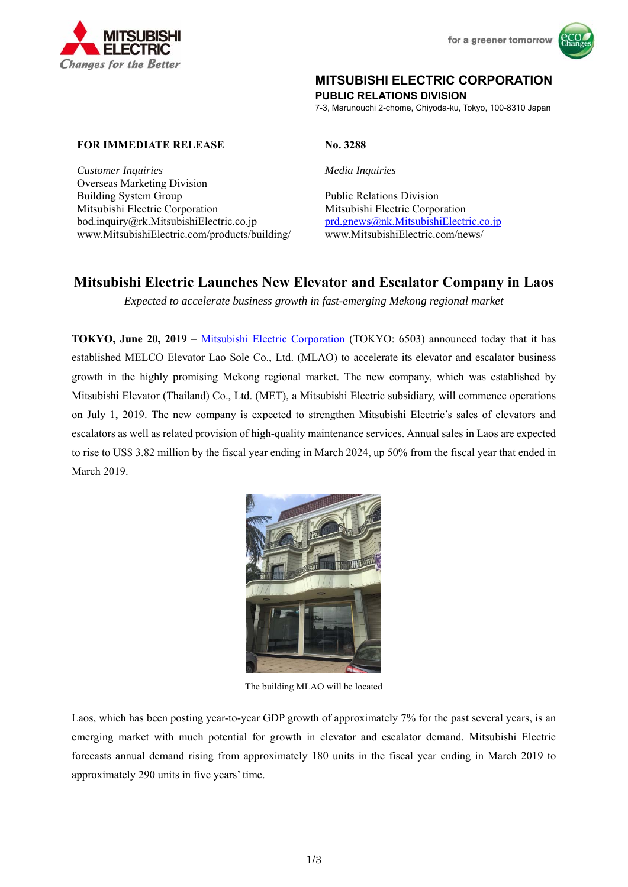



# **MITSUBISHI ELECTRIC CORPORATION**

**PUBLIC RELATIONS DIVISION** 

7-3, Marunouchi 2-chome, Chiyoda-ku, Tokyo, 100-8310 Japan

#### **FOR IMMEDIATE RELEASE No. 3288**

*Customer Inquiries Media Inquiries*  Overseas Marketing Division Building System Group Public Relations Division Mitsubishi Electric Corporation Mitsubishi Electric Corporation bod.inquiry@rk.MitsubishiElectric.co.jp prd.gnews@nk.MitsubishiElectric.co.jp www.MitsubishiElectric.com/products/building/ www.MitsubishiElectric.com/news/

# **Mitsubishi Electric Launches New Elevator and Escalator Company in Laos**

*Expected to accelerate business growth in fast-emerging Mekong regional market* 

**TOKYO, June 20, 2019** – Mitsubishi Electric Corporation (TOKYO: 6503) announced today that it has established MELCO Elevator Lao Sole Co., Ltd. (MLAO) to accelerate its elevator and escalator business growth in the highly promising Mekong regional market. The new company, which was established by Mitsubishi Elevator (Thailand) Co., Ltd. (MET), a Mitsubishi Electric subsidiary, will commence operations on July 1, 2019. The new company is expected to strengthen Mitsubishi Electric's sales of elevators and escalators as well as related provision of high-quality maintenance services. Annual sales in Laos are expected to rise to US\$ 3.82 million by the fiscal year ending in March 2024, up 50% from the fiscal year that ended in March 2019.



The building MLAO will be located

Laos, which has been posting year-to-year GDP growth of approximately 7% for the past several years, is an emerging market with much potential for growth in elevator and escalator demand. Mitsubishi Electric forecasts annual demand rising from approximately 180 units in the fiscal year ending in March 2019 to approximately 290 units in five years' time.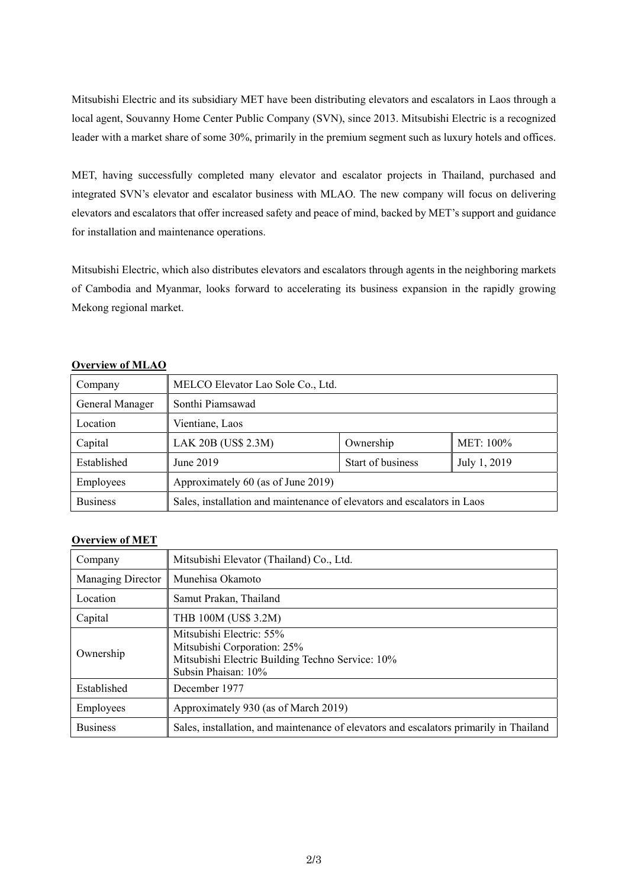Mitsubishi Electric and its subsidiary MET have been distributing elevators and escalators in Laos through a local agent, Souvanny Home Center Public Company (SVN), since 2013. Mitsubishi Electric is a recognized leader with a market share of some 30%, primarily in the premium segment such as luxury hotels and offices.

MET, having successfully completed many elevator and escalator projects in Thailand, purchased and integrated SVN's elevator and escalator business with MLAO. The new company will focus on delivering elevators and escalators that offer increased safety and peace of mind, backed by MET's support and guidance for installation and maintenance operations.

Mitsubishi Electric, which also distributes elevators and escalators through agents in the neighboring markets of Cambodia and Myanmar, looks forward to accelerating its business expansion in the rapidly growing Mekong regional market.

| <b>OVALITION OF BULLAR</b> |                                                                         |                   |              |
|----------------------------|-------------------------------------------------------------------------|-------------------|--------------|
| Company                    | MELCO Elevator Lao Sole Co., Ltd.                                       |                   |              |
| General Manager            | Sonthi Piamsawad                                                        |                   |              |
| Location                   | Vientiane, Laos                                                         |                   |              |
| Capital                    | LAK 20B (US\$ 2.3M)                                                     | Ownership         | MET: 100%    |
| Established                | June 2019                                                               | Start of business | July 1, 2019 |
| Employees                  | Approximately 60 (as of June 2019)                                      |                   |              |
| <b>Business</b>            | Sales, installation and maintenance of elevators and escalators in Laos |                   |              |

#### **Overview of MLAO**

## **Overview of MET**

| Company           | Mitsubishi Elevator (Thailand) Co., Ltd.                                                                                           |  |
|-------------------|------------------------------------------------------------------------------------------------------------------------------------|--|
| Managing Director | Munehisa Okamoto                                                                                                                   |  |
| Location          | Samut Prakan, Thailand                                                                                                             |  |
| Capital           | THB 100M (US\$ 3.2M)                                                                                                               |  |
| Ownership         | Mitsubishi Electric: 55%<br>Mitsubishi Corporation: 25%<br>Mitsubishi Electric Building Techno Service: 10%<br>Subsin Phaisan: 10% |  |
| Established       | December 1977                                                                                                                      |  |
| Employees         | Approximately 930 (as of March 2019)                                                                                               |  |
| <b>Business</b>   | Sales, installation, and maintenance of elevators and escalators primarily in Thailand                                             |  |